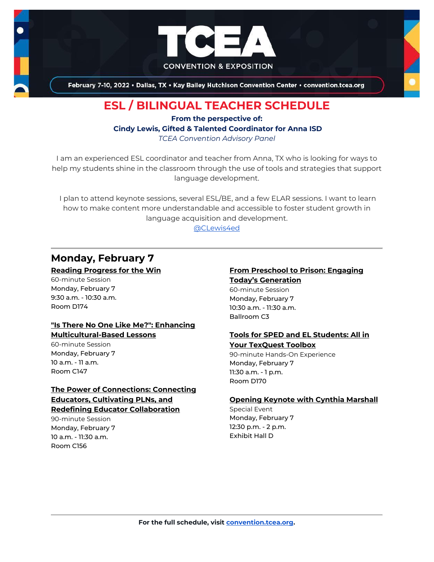

February 7-10, 2022 . Dallas, TX . Kay Bailey Hutchison Convention Center . convention.tcea.org

# **ESL / BILINGUAL TEACHER SCHEDULE**

**From the perspective of: Cindy Lewis, Gifted & Talented Coordinator for Anna ISD** *TCEA Convention Advisory Panel*

I am an experienced ESL coordinator and teacher from Anna, TX who is looking for ways to help my students shine in the classroom through the use of tools and strategies that support language development.

I plan to attend keynote sessions, several ESL/BE, and a few ELAR sessions. I want to learn how to make content more understandable and accessible to foster student growth in language acquisition and development.

[@CLewis4ed](https://twitter.com/CLewis4ed)

# **Monday, February 7**

#### **[Reading Progress for the Win](https://register.tcea.org/2022/session_list.cfm?session_key=023F5E2B-F04D-A206-2B64-88627EB4432E&session_date=Monday,%20Feb%2007,%202022)**

60-minute Session Monday, February 7 9:30 a.m. - 10:30 a.m. Room D174

#### **["Is There No One Like Me?": Enhancing](https://register.tcea.org/2022/session_list.cfm?session_key=022FE594-F04D-A206-2B64-C689E0C92F61&session_date=Monday,%20Feb%2007,%202022)  [Multicultural-Based Lessons](https://register.tcea.org/2022/session_list.cfm?session_key=022FE594-F04D-A206-2B64-C689E0C92F61&session_date=Monday,%20Feb%2007,%202022)**

60-minute Session Monday, February 7 10 a.m. - 11 a.m. Room C147

## **[The Power of Connections: Connecting](https://register.tcea.org/2022/session_list.cfm?session_key=023EB5C9-F04D-A206-2B64-16851E75870F&session_date=Monday,%20Feb%2007,%202022)  [Educators, Cultivating PLNs, and](https://register.tcea.org/2022/session_list.cfm?session_key=023EB5C9-F04D-A206-2B64-16851E75870F&session_date=Monday,%20Feb%2007,%202022) [Redefining Educator Collaboration](https://register.tcea.org/2022/session_list.cfm?session_key=023EB5C9-F04D-A206-2B64-16851E75870F&session_date=Monday,%20Feb%2007,%202022)**

90-minute Session Monday, February 7 10 a.m. - 11:30 a.m. Room C156

#### **[From Preschool to Prison: Engaging](https://register.tcea.org/2022/session_list.cfm?session_key=C435C900-F04D-A206-2B64-A794D88958AD&session_date=Monday,%20Feb%2007,%202022)  [Today's Generation](https://register.tcea.org/2022/session_list.cfm?session_key=C435C900-F04D-A206-2B64-A794D88958AD&session_date=Monday,%20Feb%2007,%202022)**

60-minute Session Monday, February 7 10:30 a.m. - 11:30 a.m. Ballroom C3

#### **[Tools for SPED and EL Students: All in](https://register.tcea.org/2022/session_list.cfm?session_key=024370E4-F04D-A206-2B64-77804FCFCEF4&session_date=Monday,%20Feb%2007,%202022)  [Your TexQuest Toolbox](https://register.tcea.org/2022/session_list.cfm?session_key=024370E4-F04D-A206-2B64-77804FCFCEF4&session_date=Monday,%20Feb%2007,%202022)**

90-minute Hands-On Experience Monday, February 7 11:30 a.m. - 1 p.m. Room D170

#### **[Opening Keynote with Cynthia Marshall](https://register.tcea.org/2022/session_list.cfm?session_key=5F0745B8-F04D-A206-2B64-0D4631096E34&session_date=Monday,%20Feb%2007,%202022)**

Special Event Monday, February 7 12:30 p.m. - 2 p.m. Exhibit Hall D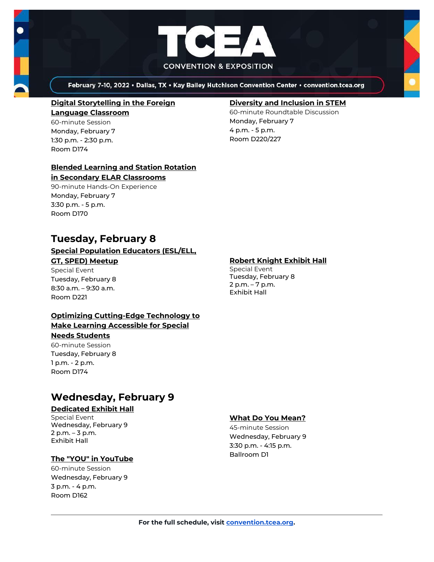



February 7-10, 2022 . Dallas, TX . Kay Bailey Hutchison Convention Center . convention.tcea.org

#### **[Digital Storytelling in the Foreign](https://register.tcea.org/2022/session_list.cfm?session_key=02365976-F04D-A206-2B64-61F5A8828D2B&session_date=Monday,%20Feb%2007,%202022)  [Language Classroom](https://register.tcea.org/2022/session_list.cfm?session_key=02365976-F04D-A206-2B64-61F5A8828D2B&session_date=Monday,%20Feb%2007,%202022)** 60-minute Session

Monday, February 7 1:30 p.m. - 2:30 p.m. Room D174

## **[Blended Learning and Station Rotation](https://register.tcea.org/2022/session_list.cfm?session_key=0231D30B-F04D-A206-2B64-8F66FA8F35A4&session_date=Monday,%20Feb%2007,%202022)**

#### **[in Secondary ELAR Classrooms](https://register.tcea.org/2022/session_list.cfm?session_key=0231D30B-F04D-A206-2B64-8F66FA8F35A4&session_date=Monday,%20Feb%2007,%202022)**

90-minute Hands-On Experience Monday, February 7 3:30 p.m. - 5 p.m. Room D170

# **Tuesday, February 8**

#### **[Special Population Educators \(ESL/ELL,](https://register.tcea.org/2022/session_list.cfm?session_key=5EB27693-F04D-A206-2B64-B0DA6FDC956B&session_date=Tuesday,%20Feb%2008,%202022)  [GT, SPED\) Meetup](https://register.tcea.org/2022/session_list.cfm?session_key=5EB27693-F04D-A206-2B64-B0DA6FDC956B&session_date=Tuesday,%20Feb%2008,%202022)**

## Special Event

Tuesday, February 8 8:30 a.m. – 9:30 a.m. Room D221

#### **[Optimizing Cutting-Edge Technology to](https://register.tcea.org/2022/session_list.cfm?session_key=023E0D2B-F04D-A206-2B64-C17647851ACA&session_date=Tuesday,%20Feb%2008,%202022)  [Make Learning Accessible for Special](https://register.tcea.org/2022/session_list.cfm?session_key=023E0D2B-F04D-A206-2B64-C17647851ACA&session_date=Tuesday,%20Feb%2008,%202022)  [Needs Students](https://register.tcea.org/2022/session_list.cfm?session_key=023E0D2B-F04D-A206-2B64-C17647851ACA&session_date=Tuesday,%20Feb%2008,%202022)**

60-minute Session Tuesday, February 8 1 p.m. - 2 p.m. Room D174

# **Wednesday, February 9**

### **[Dedicated Exhibit Hall](https://register.tcea.org/2022/session_list.cfm?session_key=61CDD8E6-F04D-A206-2B64-74AAAD8173D7&session_date=Wednesday,%20Feb%2009,%202022)**

Special Event Wednesday, February 9 2 p.m. – 3 p.m. Exhibit Hall

## **[The "YOU" in YouTube](https://register.tcea.org/2022/session_list.cfm?session_key=024252C8-F04D-A206-2B64-B1CCDDEF6494&session_date=Wednesday,%20Feb%2009,%202022)**

60-minute Session Wednesday, February 9 3 p.m. - 4 p.m. Room D162

### **[Diversity and Inclusion in STEM](https://register.tcea.org/2022/session_list.cfm?session_key=02368551-F04D-A206-2B64-82AD02836318&session_date=Monday,%20Feb%2007,%202022)**

60-minute Roundtable Discussion Monday, February 7 4 p.m. - 5 p.m. Room D220/227

### **[Robert Knight Exhibit Hall](https://register.tcea.org/2022/session_list.cfm?session_key=61CDF249-F04D-A206-2B64-15D6559D2515&session_date=Tuesday,%20Feb%2008,%202022)**

Special Event Tuesday, February 8 2 p.m. – 7 p.m. Exhibit Hall

#### **[What Do You Mean?](https://register.tcea.org/2022/session_list.cfm?session_key=0245E82F-F04D-A206-2B64-00D5293EDE94&session_date=Wednesday,%20Feb%2009,%202022)**

45-minute Session Wednesday, February 9 3:30 p.m. - 4:15 p.m. Ballroom D1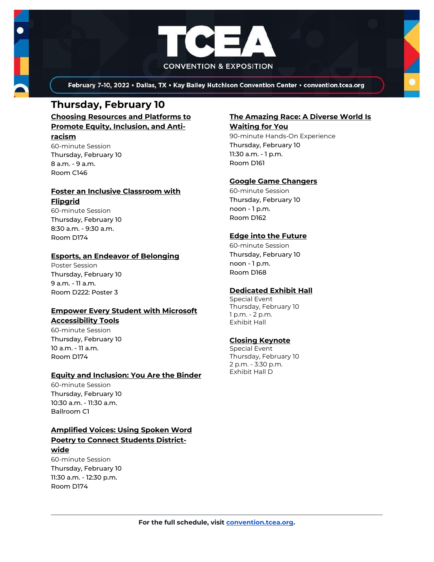

February 7-10, 2022 . Dallas, TX . Kay Bailey Hutchison Convention Center . convention.tcea.org

## **Thursday, February 10**

**[Choosing Resources and Platforms to](https://register.tcea.org/2022/session_list.cfm?session_key=023733D5-F04D-A206-2B64-F1D59A6EEA8F&session_date=Thursday,%20Feb%2010,%202022)  [Promote Equity, Inclusion, and Anti](https://register.tcea.org/2022/session_list.cfm?session_key=023733D5-F04D-A206-2B64-F1D59A6EEA8F&session_date=Thursday,%20Feb%2010,%202022)[racism](https://register.tcea.org/2022/session_list.cfm?session_key=023733D5-F04D-A206-2B64-F1D59A6EEA8F&session_date=Thursday,%20Feb%2010,%202022)**

60-minute Session Thursday, February 10 8 a.m. - 9 a.m. Room C146

#### **[Foster an Inclusive Classroom with](https://register.tcea.org/2022/session_list.cfm?session_key=0237D59F-F04D-A206-2B64-F8BD8CA8B219&session_date=Thursday,%20Feb%2010,%202022)  [Flipgrid](https://register.tcea.org/2022/session_list.cfm?session_key=0237D59F-F04D-A206-2B64-F8BD8CA8B219&session_date=Thursday,%20Feb%2010,%202022)**

60-minute Session Thursday, February 10 8:30 a.m. - 9:30 a.m. Room D174

### **[Esports, an Endeavor of Belonging](https://register.tcea.org/2022/session_list.cfm?session_key=02354802-F04D-A206-2B64-F3A8F77601BF&session_date=Thursday,%20Feb%2010,%202022)**

Poster Session Thursday, February 10 9 a.m. - 11 a.m. Room D222: Poster 3

#### **[Empower Every Student with Microsoft](https://register.tcea.org/2022/session_list.cfm?session_key=0237050E-F04D-A206-2B64-28382FA593CF&session_date=Thursday,%20Feb%2010,%202022)  [Accessibility Tools](https://register.tcea.org/2022/session_list.cfm?session_key=0237050E-F04D-A206-2B64-28382FA593CF&session_date=Thursday,%20Feb%2010,%202022)**

60-minute Session Thursday, February 10 10 a.m. - 11 a.m. Room D174

#### **[Equity and Inclusion: You Are the Binder](https://register.tcea.org/2022/session_list.cfm?session_key=61A20696-F04D-A206-2B64-9B7608A74DD8&session_date=Thursday,%20Feb%2010,%202022)**

60-minute Session Thursday, February 10 10:30 a.m. - 11:30 a.m. Ballroom C1

## **[Amplified Voices: Using Spoken Word](https://register.tcea.org/2022/session_list.cfm?session_key=02309352-F04D-A206-2B64-FAAC209EECF7&session_date=Thursday,%20Feb%2010,%202022)  [Poetry to Connect Students District-](https://register.tcea.org/2022/session_list.cfm?session_key=02309352-F04D-A206-2B64-FAAC209EECF7&session_date=Thursday,%20Feb%2010,%202022)**

#### **[wide](https://register.tcea.org/2022/session_list.cfm?session_key=02309352-F04D-A206-2B64-FAAC209EECF7&session_date=Thursday,%20Feb%2010,%202022)**

60-minute Session Thursday, February 10 11:30 a.m. - 12:30 p.m. Room D174

#### **[The Amazing Race: A Diverse World Is](https://register.tcea.org/2022/session_list.cfm?session_key=02427113-F04D-A206-2B64-23E4C6878A7D&session_date=Thursday,%20Feb%2010,%202022)  [Waiting for You](https://register.tcea.org/2022/session_list.cfm?session_key=02427113-F04D-A206-2B64-23E4C6878A7D&session_date=Thursday,%20Feb%2010,%202022)**

90-minute Hands-On Experience Thursday, February 10 11:30 a.m. - 1 p.m. Room D161

#### **[Google Game Changers](https://register.tcea.org/2022/session_list.cfm?session_key=023912F7-F04D-A206-2B64-96427A352CB1&session_date=Thursday,%20Feb%2010,%202022)**

60-minute Session Thursday, February 10 noon - 1 p.m. Room D162

#### **[Edge into the Future](https://register.tcea.org/2022/session_list.cfm?session_key=0236C2C0-F04D-A206-2B64-C493ECE0CD31&session_date=Thursday,%20Feb%2010,%202022)**

60-minute Session Thursday, February 10 noon - 1 p.m. Room D168

#### **[Dedicated Exhibit Hall](https://register.tcea.org/2022/session_list.cfm?session_key=61CDD8E6-F04D-A206-2B64-74AAAD8173D7&session_date=Thursday,%20Feb%2010,%202022)**

Special Event Thursday, February 10 1 p.m. - 2 p.m. Exhibit Hall

### **[Closing Keynote](https://register.tcea.org/2022/session_list.cfm?session_key=5F4F3255-F04D-A206-2B64-6ACD0E3FF7E6&session_date=Thursday,%20Feb%2010,%202022)**

Special Event Thursday, February 10 2 p.m. - 3:30 p.m. Exhibit Hall D